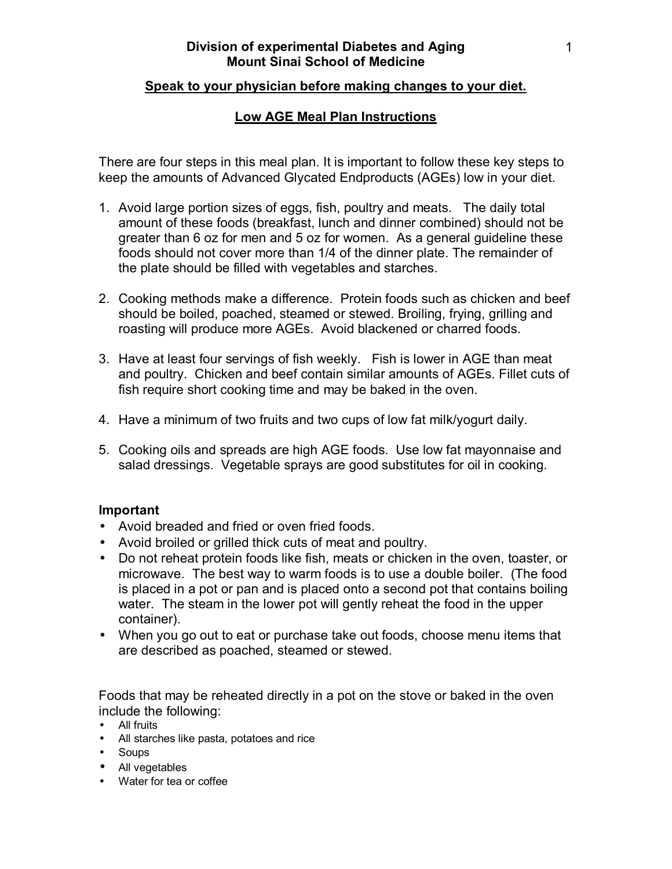## **Speak to your physician before making changes to your diet.**

## **Low AGE Meal Plan Instructions**

There are four steps in this meal plan. It is important to follow these key steps to keep the amounts of Advanced Glycated Endproducts (AGEs) low in your diet.

- 1. Avoid large portion sizes of eggs, fish, poultry and meats. The daily total amount of these foods (breakfast, lunch and dinner combined) should not be greater than 6 oz for men and 5 oz for women. As a general guideline these foods should not cover more than 1/4 of the dinner plate. The remainder of the plate should be filled with vegetables and starches.
- 2. Cooking methods make a difference. Protein foods such as chicken and beef should be boiled, poached, steamed or stewed. Broiling, frying, grilling and roasting will produce more AGEs. Avoid blackened or charred foods.
- 3. Have at least four servings of fish weekly. Fish is lower in AGE than meat and poultry. Chicken and beef contain similar amounts of AGEs. Fillet cuts of fish require short cooking time and may be baked in the oven.
- 4. Have a minimum of two fruits and two cups of low fat milk/yogurt daily.
- 5. Cooking oils and spreads are high AGE foods. Use low fat mayonnaise and salad dressings. Vegetable sprays are good substitutes for oil in cooking.

## **Important**

- Avoid breaded and fried or oven fried foods.
- Avoid broiled or grilled thick cuts of meat and poultry.
- Do not reheat protein foods like fish, meats or chicken in the oven, toaster, or microwave. The best way to warm foods is to use a double boiler. (The food is placed in a pot or pan and is placed onto a second pot that contains boiling water. The steam in the lower pot will gently reheat the food in the upper container).
- When you go out to eat or purchase take out foods, choose menu items that are described as poached, steamed or stewed.

Foods that may be reheated directly in a pot on the stove or baked in the oven include the following:

- All fruits
- All starches like pasta, potatoes and rice
- Soups
- All vegetables
- Water for tea or coffee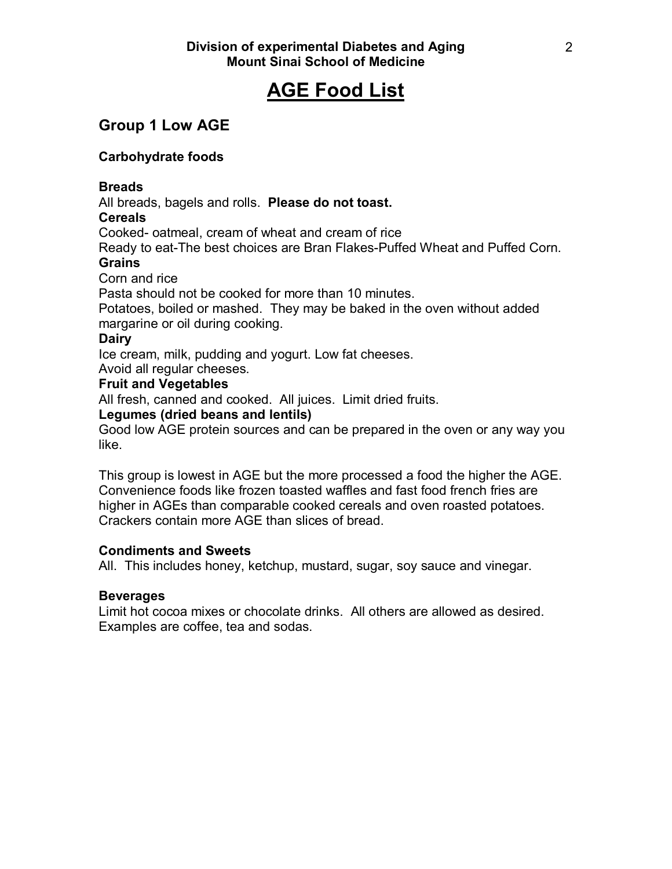# **AGE Food List**

## **Group 1 Low AGE**

## **Carbohydrate foods**

## **Breads**

All breads, bagels and rolls. **Please do not toast.** 

## **Cereals**

Cooked- oatmeal, cream of wheat and cream of rice

Ready to eat-The best choices are Bran Flakes-Puffed Wheat and Puffed Corn. **Grains** 

## Corn and rice

Pasta should not be cooked for more than 10 minutes.

Potatoes, boiled or mashed. They may be baked in the oven without added margarine or oil during cooking.

## **Dairy**

Ice cream, milk, pudding and yogurt. Low fat cheeses.

Avoid all regular cheeses.

## **Fruit and Vegetables**

All fresh, canned and cooked. All juices. Limit dried fruits.

## **Legumes (dried beans and lentils)**

Good low AGE protein sources and can be prepared in the oven or any way you like.

This group is lowest in AGE but the more processed a food the higher the AGE. Convenience foods like frozen toasted waffles and fast food french fries are higher in AGEs than comparable cooked cereals and oven roasted potatoes. Crackers contain more AGE than slices of bread.

## **Condiments and Sweets**

All. This includes honey, ketchup, mustard, sugar, soy sauce and vinegar.

## **Beverages**

Limit hot cocoa mixes or chocolate drinks. All others are allowed as desired. Examples are coffee, tea and sodas.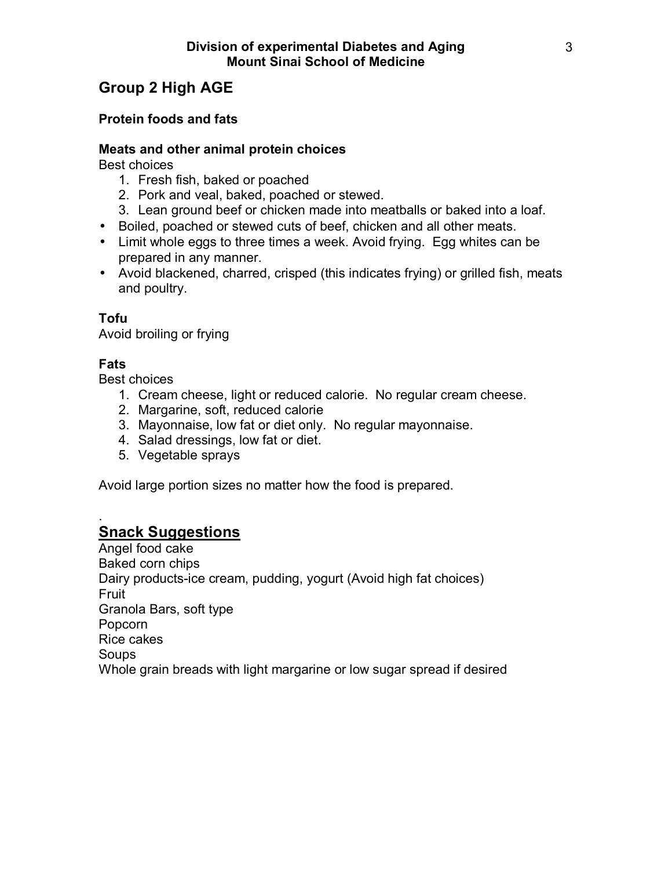## **Group 2 High AGE**

## **Protein foods and fats**

## **Meats and other animal protein choices**

Best choices

- 1. Fresh fish, baked or poached
- 2. Pork and veal, baked, poached or stewed.
- 3. Lean ground beef or chicken made into meatballs or baked into a loaf.
- Boiled, poached or stewed cuts of beef, chicken and all other meats.
- Limit whole eggs to three times a week. Avoid frying. Egg whites can be prepared in any manner.
- Avoid blackened, charred, crisped (this indicates frying) or grilled fish, meats and poultry.

## **Tofu**

Avoid broiling or frying

## **Fats**

Best choices

- 1. Cream cheese, light or reduced calorie. No regular cream cheese.
- 2. Margarine, soft, reduced calorie
- 3. Mayonnaise, low fat or diet only. No regular mayonnaise.
- 4. Salad dressings, low fat or diet.
- 5. Vegetable sprays

Avoid large portion sizes no matter how the food is prepared.

## . **Snack Suggestions**

Angel food cake Baked corn chips Dairy products-ice cream, pudding, yogurt (Avoid high fat choices) Fruit Granola Bars, soft type Popcorn Rice cakes **Soups** Whole grain breads with light margarine or low sugar spread if desired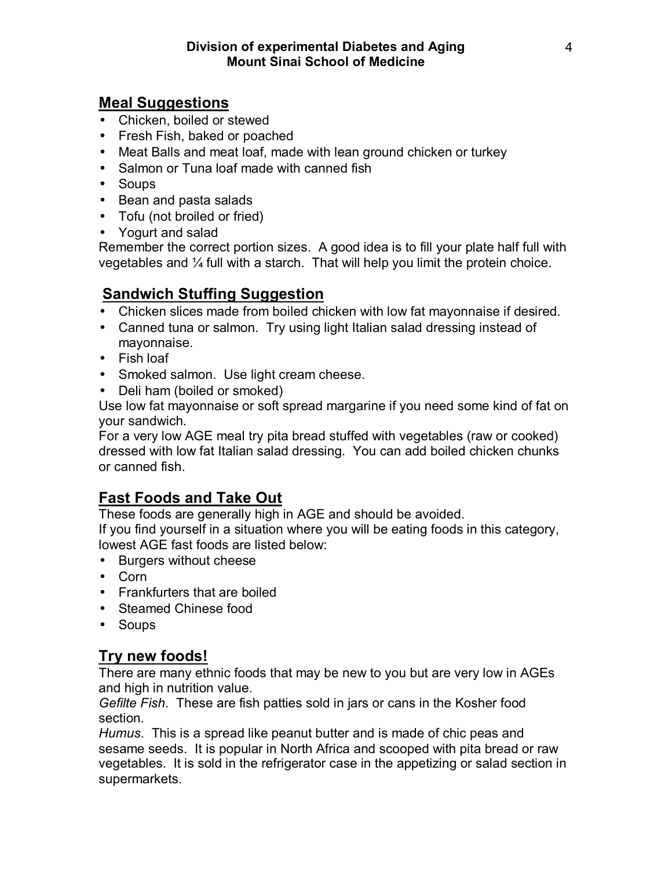## **Meal Suggestions**

- Chicken, boiled or stewed
- Fresh Fish, baked or poached
- Meat Balls and meat loaf, made with lean ground chicken or turkey
- Salmon or Tuna loaf made with canned fish
- Soups
- Bean and pasta salads
- Tofu (not broiled or fried)
- Yogurt and salad

Remember the correct portion sizes. A good idea is to fill your plate half full with vegetables and  $\frac{1}{4}$  full with a starch. That will help you limit the protein choice.

## **Sandwich Stuffing Suggestion**

- Chicken slices made from boiled chicken with low fat mayonnaise if desired.
- Canned tuna or salmon. Try using light Italian salad dressing instead of mayonnaise.
- Fish loaf
- Smoked salmon. Use light cream cheese.
- Deli ham (boiled or smoked)

Use low fat mayonnaise or soft spread margarine if you need some kind of fat on your sandwich.

For a very low AGE meal try pita bread stuffed with vegetables (raw or cooked) dressed with low fat Italian salad dressing. You can add boiled chicken chunks or canned fish.

## **Fast Foods and Take Out**

These foods are generally high in AGE and should be avoided.

If you find yourself in a situation where you will be eating foods in this category, lowest AGE fast foods are listed below:

- Burgers without cheese
- Corn
- Frankfurters that are boiled
- Steamed Chinese food
- Soups

## **Try new foods!**

There are many ethnic foods that may be new to you but are very low in AGEs and high in nutrition value.

*Gefilte Fish*. These are fish patties sold in jars or cans in the Kosher food section.

*Humus*. This is a spread like peanut butter and is made of chic peas and sesame seeds. It is popular in North Africa and scooped with pita bread or raw vegetables. It is sold in the refrigerator case in the appetizing or salad section in supermarkets.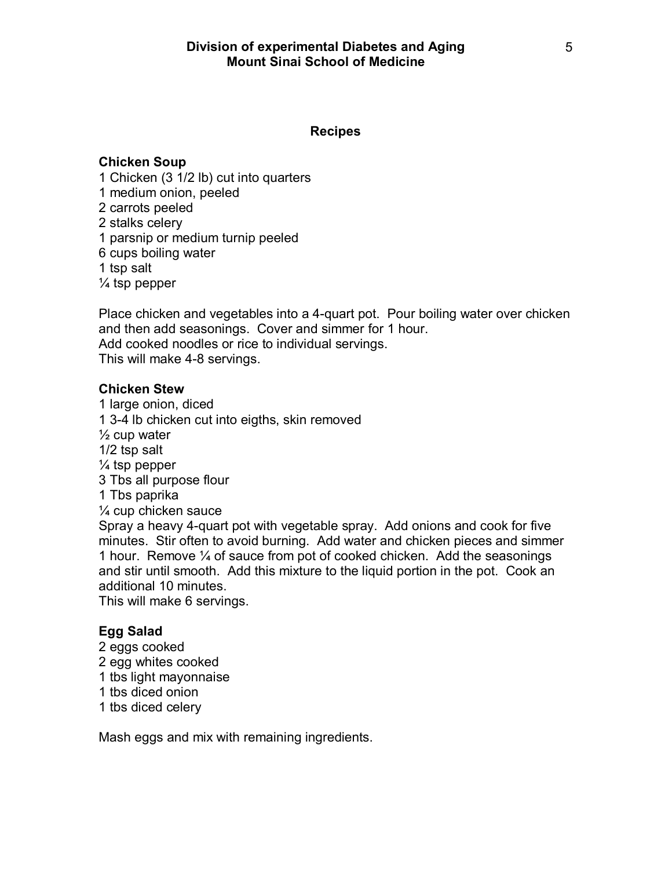## **Recipes**

## **Chicken Soup**

1 Chicken (3 1/2 lb) cut into quarters 1 medium onion, peeled 2 carrots peeled 2 stalks celery 1 parsnip or medium turnip peeled 6 cups boiling water 1 tsp salt  $\frac{1}{4}$  tsp pepper

Place chicken and vegetables into a 4-quart pot. Pour boiling water over chicken and then add seasonings. Cover and simmer for 1 hour. Add cooked noodles or rice to individual servings. This will make 4-8 servings.

### **Chicken Stew**

1 large onion, diced 1 3-4 lb chicken cut into eigths, skin removed  $\frac{1}{2}$  cup water 1/2 tsp salt  $\frac{1}{4}$  tsp pepper 3 Tbs all purpose flour 1 Tbs paprika  $\frac{1}{4}$  cup chicken sauce Spray a heavy 4-quart pot with vegetable spray. Add onions and cook for five minutes. Stir often to avoid burning. Add water and chicken pieces and simmer 1 hour. Remove  $\frac{1}{4}$  of sauce from pot of cooked chicken. Add the seasonings and stir until smooth. Add this mixture to the liquid portion in the pot. Cook an additional 10 minutes.

This will make 6 servings.

## **Egg Salad**

- 2 eggs cooked
- 2 egg whites cooked
- 1 tbs light mayonnaise
- 1 tbs diced onion
- 1 tbs diced celery

Mash eggs and mix with remaining ingredients.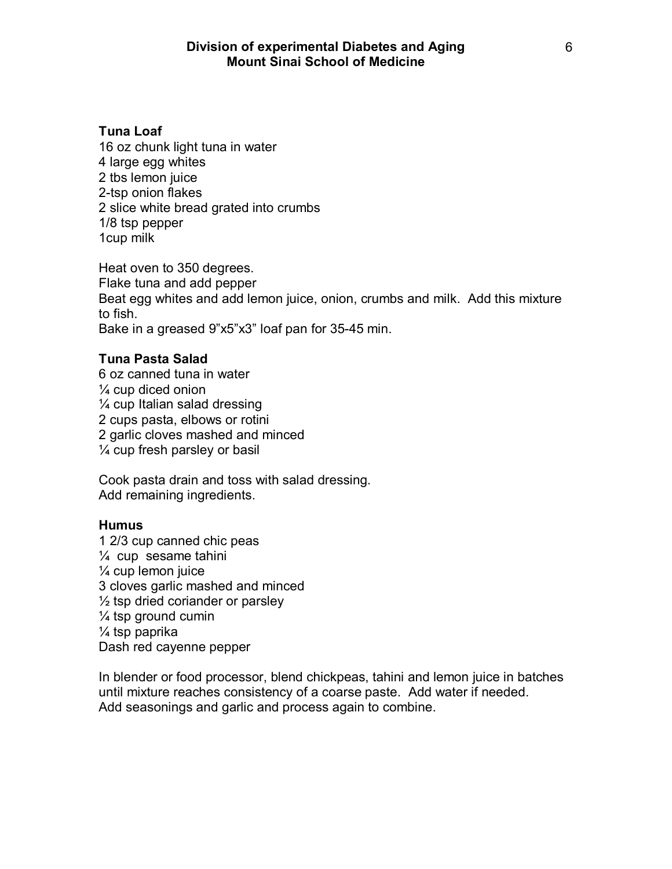## **Tuna Loaf**

16 oz chunk light tuna in water 4 large egg whites 2 tbs lemon juice 2-tsp onion flakes 2 slice white bread grated into crumbs 1/8 tsp pepper 1cup milk

Heat oven to 350 degrees. Flake tuna and add pepper Beat egg whites and add lemon juice, onion, crumbs and milk. Add this mixture to fish. Bake in a greased 9"x5"x3" loaf pan for 35-45 min.

## **Tuna Pasta Salad**

6 oz canned tuna in water  $\frac{1}{4}$  cup diced onion  $\frac{1}{4}$  cup Italian salad dressing 2 cups pasta, elbows or rotini 2 garlic cloves mashed and minced  $\frac{1}{4}$  cup fresh parsley or basil

Cook pasta drain and toss with salad dressing. Add remaining ingredients.

### **Humus**

1 2/3 cup canned chic peas  $\frac{1}{4}$  cup sesame tahini  $\frac{1}{4}$  cup lemon juice 3 cloves garlic mashed and minced  $\frac{1}{2}$  tsp dried coriander or parsley  $\frac{1}{4}$  tsp ground cumin  $\frac{1}{4}$  tsp paprika Dash red cayenne pepper

In blender or food processor, blend chickpeas, tahini and lemon juice in batches until mixture reaches consistency of a coarse paste. Add water if needed. Add seasonings and garlic and process again to combine.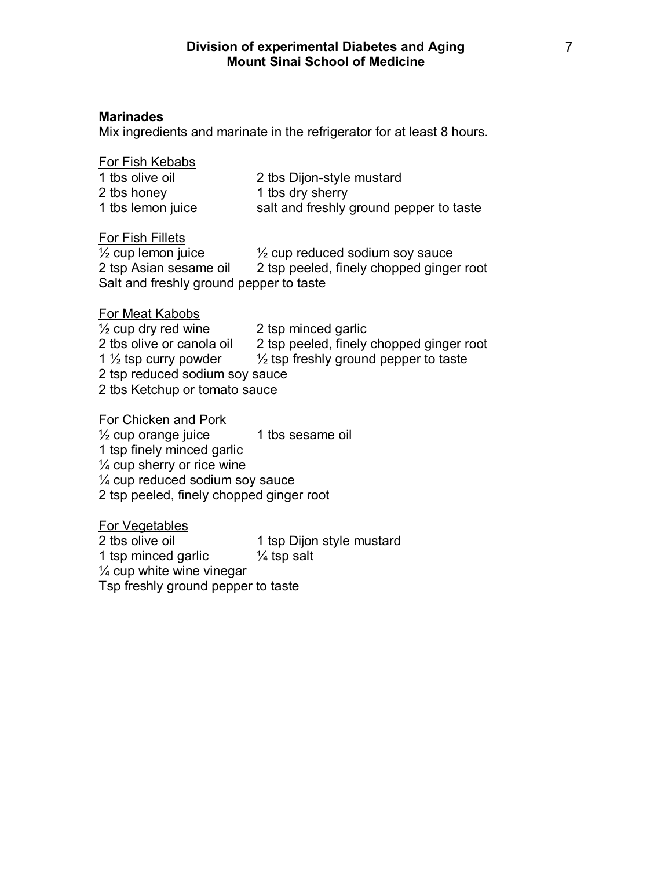## **Marinades**

Mix ingredients and marinate in the refrigerator for at least 8 hours.

| For Fish Kebabs   |                                         |
|-------------------|-----------------------------------------|
| 1 tbs olive oil   | 2 tbs Dijon-style mustard               |
| 2 tbs honey       | 1 tbs dry sherry                        |
| 1 tbs lemon juice | salt and freshly ground pepper to taste |

#### For Fish Fillets

 $\frac{1}{2}$  cup lemon juice  $\frac{1}{2}$  cup reduced sodium soy sauce 2 tsp Asian sesame oil 2 tsp peeled, finely chopped ginger root Salt and freshly ground pepper to taste

#### For Meat Kabobs

 $\frac{1}{2}$  cup dry red wine 2 tsp minced garlic 2 tbs olive or canola oil 2 tsp peeled, finely chopped ginger root 1  $\frac{1}{2}$  tsp curry powder  $\frac{1}{2}$  tsp freshly ground pepper to taste 2 tsp reduced sodium soy sauce 2 tbs Ketchup or tomato sauce

For Chicken and Pork  $\frac{1}{2}$  cup orange juice  $\frac{1}{2}$  tbs sesame oil 1 tsp finely minced garlic  $\frac{1}{4}$  cup sherry or rice wine  $\frac{1}{4}$  cup reduced sodium soy sauce 2 tsp peeled, finely chopped ginger root

For Vegetables 2 tbs olive oil 1 tsp Dijon style mustard 1 tsp minced garlic  $\frac{1}{4}$  tsp salt  $\frac{1}{4}$  cup white wine vinegar Tsp freshly ground pepper to taste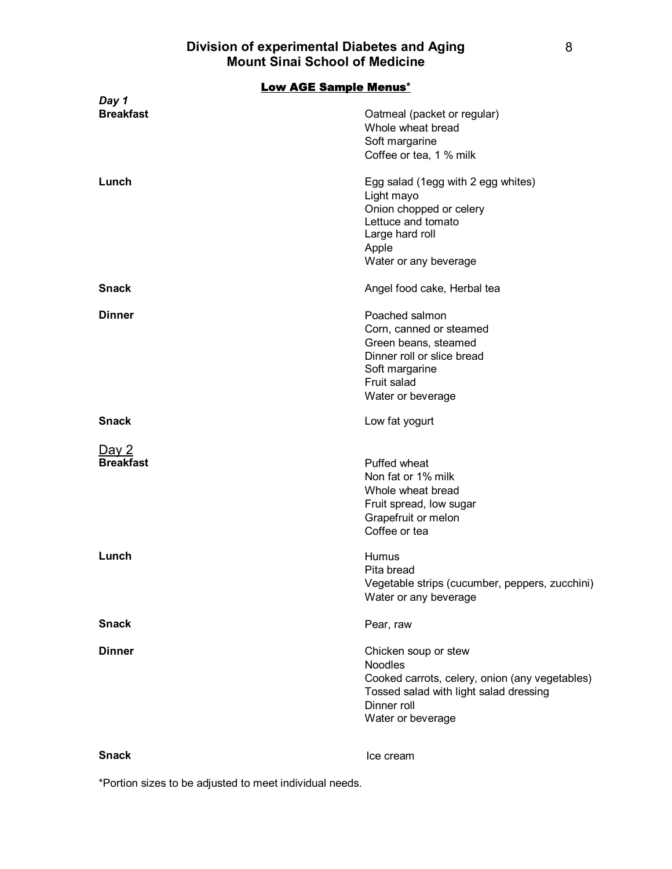Low AGE Sample Menus**\*** *Day 1*  **Breakfast Breakfast COMEX COMEX COMEX COMPONENT COMPONENT CONTRACT OF THE STATE OF THE STATE OF THE STATE OF THE STATE OF THE STATE OF THE STATE OF THE STATE OF THE STATE OF THE STATE OF THE STATE OF THE STATE OF THE**  Whole wheat bread Soft margarine Coffee or tea, 1 % milk **Lunch** Egg salad (1egg with 2 egg whites) Light mayo Onion chopped or celery Lettuce and tomato Large hard roll Apple Water or any beverage **Snack Angel food cake, Herbal tea Dinner** Poached salmon Corn, canned or steamed Green beans, steamed Dinner roll or slice bread Soft margarine Fruit salad Water or beverage **Snack Low fat yogurt** <u>Day 2</u><br>Breakfast **Puffed wheat**  Non fat or 1% milk Whole wheat bread Fruit spread, low sugar Grapefruit or melon Coffee or tea **Lunch** Humus Pita bread Vegetable strips (cucumber, peppers, zucchini) Water or any beverage **Snack** Pear, raw **Dinner Dinner Chicken** soup or stew Noodles Cooked carrots, celery, onion (any vegetables) Tossed salad with light salad dressing Dinner roll Water or beverage

**Snack Ice cream** 

\*Portion sizes to be adjusted to meet individual needs.